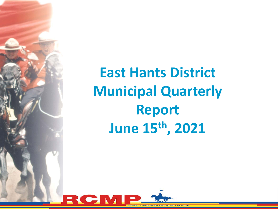

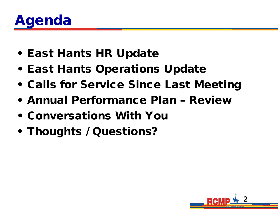

- East Hants HR Update
- East Hants Operations Update
- Calls for Service Since Last Meeting
- Annual Performance Plan Review
- Conversations With You
- Thoughts / Questions?

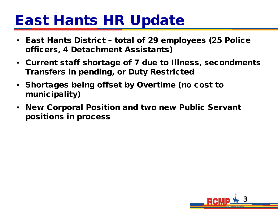## East Hants HR Update

- East Hants District total of 29 employees (25 Police officers, 4 Detachment Assistants)
- Current staff shortage of 7 due to Illness, secondments Transfers in pending, or Duty Restricted
- Shortages being offset by Overtime (no cost to municipality)
- New Corporal Position and two new Public Servant positions in process

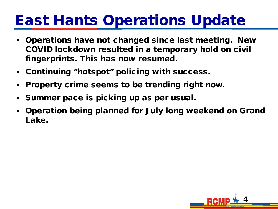## East Hants Operations Update

- Operations have not changed since last meeting. New COVID lockdown resulted in a temporary hold on civil fingerprints. This has now resumed.
- Continuing "hotspot" policing with success.
- Property crime seems to be trending right now.
- Summer pace is picking up as per usual.
- Operation being planned for July long weekend on Grand Lake.

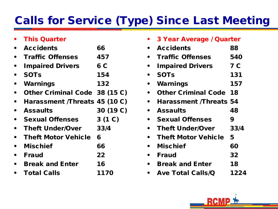### Calls for Service (Type) Since Last Meeting

| <b>This Quarter</b>           |           |
|-------------------------------|-----------|
| <b>Accidents</b>              | 66        |
| <b>Traffic Offenses</b>       | 457       |
| <b>Impaired Drivers</b>       | 6 C       |
| <b>SOTs</b>                   | 154       |
| Warnings                      | 132       |
| Other Criminal Code 38 (15 C) |           |
| Harassment /Threats 45 (10 C) |           |
| <b>Assaults</b>               | 30 (19 C) |
| <b>Sexual Offenses</b>        | 3(1 C)    |
| <b>Theft Under/Over</b>       | 33/4      |
| <b>Theft Motor Vehicle</b>    | 6         |
| <b>Mischief</b>               | 66        |
| <b>Fraud</b>                  | 22        |
| <b>Break and Enter</b>        | 16        |
| Total Calls                   | 1170      |

| 3 Year Average / Quarter      |      |
|-------------------------------|------|
| <b>Accidents</b>              | 88   |
| <b>Traffic Offenses</b>       | 540  |
| <b>Impaired Drivers</b>       | 7 C  |
| <b>SOTs</b>                   | 131  |
| Warnings                      | 157  |
| <b>Other Criminal Code 18</b> |      |
| <b>Harassment /Threats 54</b> |      |
| <b>Assaults</b>               | 48   |
| <b>Sexual Offenses</b>        | 9    |
| <b>Theft Under/Over</b>       | 33/4 |
| <b>Theft Motor Vehicle</b>    | 5    |
| <b>Mischief</b>               | 60   |
| <b>Fraud</b>                  | 32   |
| <b>Break and Enter</b>        | 18   |
| <b>Ave Total Calls/Q</b>      | 1224 |

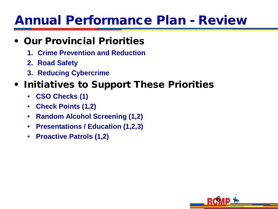### Annual Performance Plan - Review

#### • Our Provincial Priorities

- **1. Crime Prevention and Reduction**
- **2. Road Safety**
- **3. Reducing Cybercrime**

#### • Initiatives to Support These Priorities

- **CSO Checks (1)**
- **Check Points (1,2)**
- **Random Alcohol Screening (1,2)**
- **Presentations / Education (1,2,3)**
- **Proactive Patrols (1,2)**

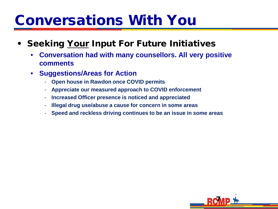## Conversations With You

- Seeking Your Input For Future Initiatives
	- **Conversation had with many counsellors. All very positive comments**
	- **Suggestions/Areas for Action**
		- **Open house in Rawdon once COVID permits**
		- **Appreciate our measured approach to COVID enforcement**
		- **Increased Officer presence is noticed and appreciated**
		- **Illegal drug use/abuse a cause for concern in some areas**
		- **Speed and reckless driving continues to be an issue in some areas**